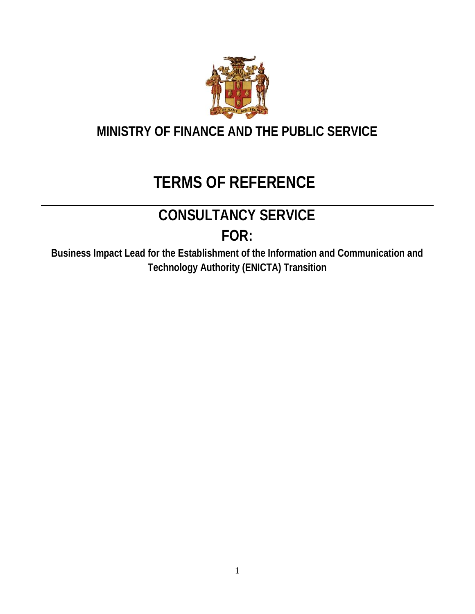

### **MINISTRY OF FINANCE AND THE PUBLIC SERVICE**

## **TERMS OF REFERENCE**

# **CONSULTANCY SERVICE**

**FOR:**

**Business Impact Lead for the Establishment of the Information and Communication and Technology Authority (ENICTA) Transition**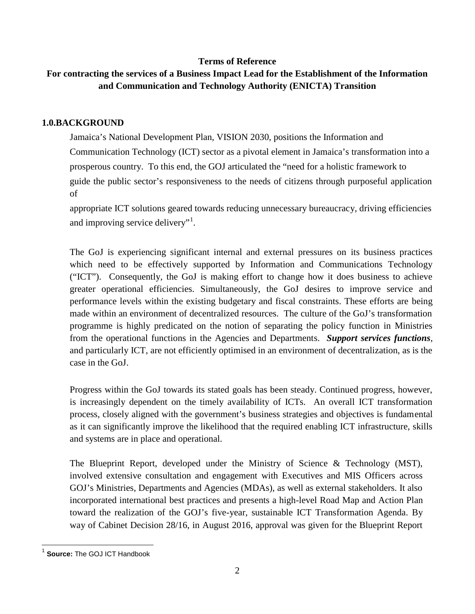#### **Terms of Reference**

#### **For contracting the services of a Business Impact Lead for the Establishment of the Information and Communication and Technology Authority (ENICTA) Transition**

#### **1.0.BACKGROUND**

Jamaica's National Development Plan, VISION 2030, positions the Information and Communication Technology (ICT) sector as a pivotal element in Jamaica's transformation into a prosperous country. To this end, the GOJ articulated the "need for a holistic framework to guide the public sector's responsiveness to the needs of citizens through purposeful application of

appropriate ICT solutions geared towards reducing unnecessary bureaucracy, driving efficiencies and improving service delivery"<sup>1</sup>.

The GoJ is experiencing significant internal and external pressures on its business practices which need to be effectively supported by Information and Communications Technology ("ICT"). Consequently, the GoJ is making effort to change how it does business to achieve greater operational efficiencies. Simultaneously, the GoJ desires to improve service and performance levels within the existing budgetary and fiscal constraints. These efforts are being made within an environment of decentralized resources. The culture of the GoJ's transformation programme is highly predicated on the notion of separating the policy function in Ministries from the operational functions in the Agencies and Departments. *Support services functions*, and particularly ICT, are not efficiently optimised in an environment of decentralization, as is the case in the GoJ.

Progress within the GoJ towards its stated goals has been steady. Continued progress, however, is increasingly dependent on the timely availability of ICTs. An overall ICT transformation process, closely aligned with the government's business strategies and objectives is fundamental as it can significantly improve the likelihood that the required enabling ICT infrastructure, skills and systems are in place and operational.

The Blueprint Report, developed under the Ministry of Science & Technology (MST), involved extensive consultation and engagement with Executives and MIS Officers across GOJ's Ministries, Departments and Agencies (MDAs), as well as external stakeholders. It also incorporated international best practices and presents a high-level Road Map and Action Plan toward the realization of the GOJ's five-year, sustainable ICT Transformation Agenda. By way of Cabinet Decision 28/16, in August 2016, approval was given for the Blueprint Report

**Source: The GOJ ICT Handbook**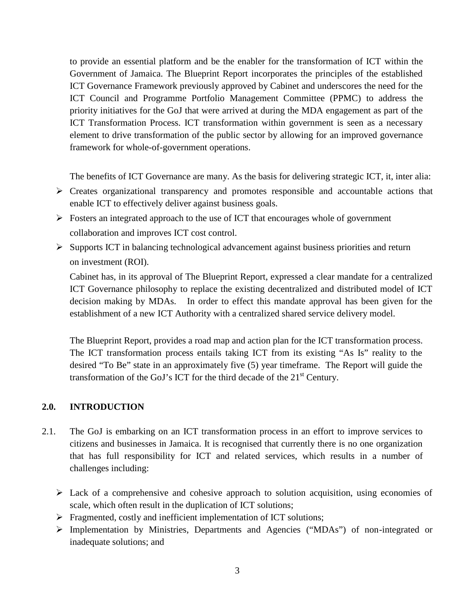to provide an essential platform and be the enabler for the transformation of ICT within the Government of Jamaica. The Blueprint Report incorporates the principles of the established ICT Governance Framework previously approved by Cabinet and underscores the need for the ICT Council and Programme Portfolio Management Committee (PPMC) to address the priority initiatives for the GoJ that were arrived at during the MDA engagement as part of the ICT Transformation Process. ICT transformation within government is seen as a necessary element to drive transformation of the public sector by allowing for an improved governance framework for whole-of-government operations.

The benefits of ICT Governance are many. As the basis for delivering strategic ICT, it, inter alia:

- $\triangleright$  Creates organizational transparency and promotes responsible and accountable actions that enable ICT to effectively deliver against business goals.
- $\triangleright$  Fosters an integrated approach to the use of ICT that encourages whole of government collaboration and improves ICT cost control.
- $\triangleright$  Supports ICT in balancing technological advancement against business priorities and return on investment (ROI).

Cabinet has, in its approval of The Blueprint Report, expressed a clear mandate for a centralized ICT Governance philosophy to replace the existing decentralized and distributed model of ICT decision making by MDAs. In order to effect this mandate approval has been given for the establishment of a new ICT Authority with a centralized shared service delivery model.

The Blueprint Report, provides a road map and action plan for the ICT transformation process. The ICT transformation process entails taking ICT from its existing "As Is" reality to the desired "To Be" state in an approximately five (5) year timeframe. The Report will guide the transformation of the GoJ's ICT for the third decade of the  $21<sup>st</sup>$  Century.

#### **2.0. INTRODUCTION**

- 2.1. The GoJ is embarking on an ICT transformation process in an effort to improve services to citizens and businesses in Jamaica. It is recognised that currently there is no one organization that has full responsibility for ICT and related services, which results in a number of challenges including:
	- $\triangleright$  Lack of a comprehensive and cohesive approach to solution acquisition, using economies of scale, which often result in the duplication of ICT solutions;
	- $\triangleright$  Fragmented, costly and inefficient implementation of ICT solutions;
	- Implementation by Ministries, Departments and Agencies ("MDAs") of non-integrated or inadequate solutions; and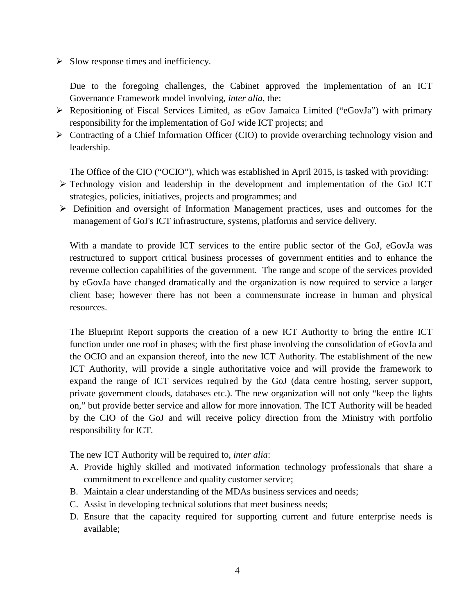$\triangleright$  Slow response times and inefficiency.

Due to the foregoing challenges, the Cabinet approved the implementation of an ICT Governance Framework model involving, *inter alia*, the:

- $\triangleright$  Repositioning of Fiscal Services Limited, as eGov Jamaica Limited ("eGovJa") with primary responsibility for the implementation of GoJ wide ICT projects; and
- $\triangleright$  Contracting of a Chief Information Officer (CIO) to provide overarching technology vision and leadership.

The Office of the CIO ("OCIO"), which was established in April 2015, is tasked with providing:

- Technology vision and leadership in the development and implementation of the GoJ ICT strategies, policies, initiatives, projects and programmes; and
- Definition and oversight of Information Management practices, uses and outcomes for the management of GoJ's ICT infrastructure, systems, platforms and service delivery.

With a mandate to provide ICT services to the entire public sector of the GoJ, eGovJa was restructured to support critical business processes of government entities and to enhance the revenue collection capabilities of the government. The range and scope of the services provided by eGovJa have changed dramatically and the organization is now required to service a larger client base; however there has not been a commensurate increase in human and physical resources.

The Blueprint Report supports the creation of a new ICT Authority to bring the entire ICT function under one roof in phases; with the first phase involving the consolidation of eGovJa and the OCIO and an expansion thereof, into the new ICT Authority. The establishment of the new ICT Authority, will provide a single authoritative voice and will provide the framework to expand the range of ICT services required by the GoJ (data centre hosting, server support, private government clouds, databases etc.). The new organization will not only "keep the lights on," but provide better service and allow for more innovation. The ICT Authority will be headed by the CIO of the GoJ and will receive policy direction from the Ministry with portfolio responsibility for ICT.

The new ICT Authority will be required to, *inter alia*:

- A. Provide highly skilled and motivated information technology professionals that share a commitment to excellence and quality customer service;
- B. Maintain a clear understanding of the MDAs business services and needs;
- C. Assist in developing technical solutions that meet business needs;
- D. Ensure that the capacity required for supporting current and future enterprise needs is available;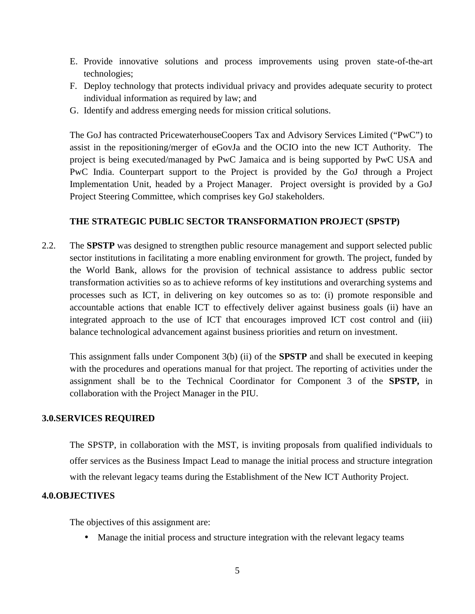- E. Provide innovative solutions and process improvements using proven state-of-the-art technologies;
- F. Deploy technology that protects individual privacy and provides adequate security to protect individual information as required by law; and
- G. Identify and address emerging needs for mission critical solutions.

The GoJ has contracted PricewaterhouseCoopers Tax and Advisory Services Limited ("PwC") to assist in the repositioning/merger of eGovJa and the OCIO into the new ICT Authority. The project is being executed/managed by PwC Jamaica and is being supported by PwC USA and PwC India. Counterpart support to the Project is provided by the GoJ through a Project Implementation Unit, headed by a Project Manager. Project oversight is provided by a GoJ Project Steering Committee, which comprises key GoJ stakeholders.

#### **THE STRATEGIC PUBLIC SECTOR TRANSFORMATION PROJECT (SPSTP)**

2.2. The **SPSTP** was designed to strengthen public resource management and support selected public sector institutions in facilitating a more enabling environment for growth. The project, funded by the World Bank, allows for the provision of technical assistance to address public sector transformation activities so as to achieve reforms of key institutions and overarching systems and processes such as ICT, in delivering on key outcomes so as to: (i) promote responsible and accountable actions that enable ICT to effectively deliver against business goals (ii) have an integrated approach to the use of ICT that encourages improved ICT cost control and (iii) balance technological advancement against business priorities and return on investment.

This assignment falls under Component 3(b) (ii) of the **SPSTP** and shall be executed in keeping with the procedures and operations manual for that project. The reporting of activities under the assignment shall be to the Technical Coordinator for Component 3 of the **SPSTP,** in collaboration with the Project Manager in the PIU.

#### **3.0.SERVICES REQUIRED**

The SPSTP, in collaboration with the MST, is inviting proposals from qualified individuals to offer services as the Business Impact Lead to manage the initial process and structure integration with the relevant legacy teams during the Establishment of the New ICT Authority Project.

#### **4.0.OBJECTIVES**

The objectives of this assignment are:

Manage the initial process and structure integration with the relevant legacy teams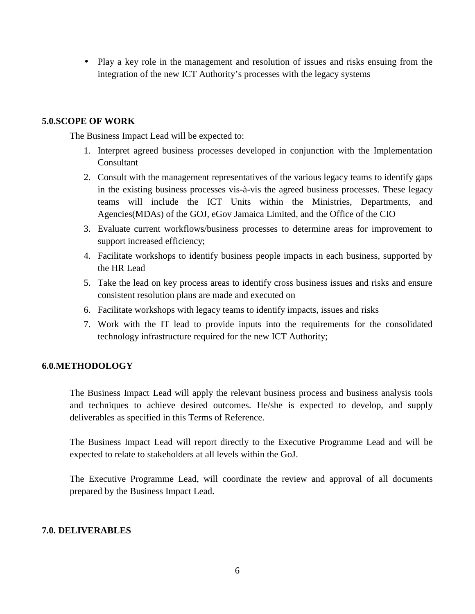• Play a key role in the management and resolution of issues and risks ensuing from the integration of the new ICT Authority's processes with the legacy systems

#### **5.0.SCOPE OF WORK**

The Business Impact Lead will be expected to:

- 1. Interpret agreed business processes developed in conjunction with the Implementation Consultant
- 2. Consult with the management representatives of the various legacy teams to identify gaps in the existing business processes vis-à-vis the agreed business processes. These legacy teams will include the ICT Units within the Ministries, Departments, and Agencies(MDAs) of the GOJ, eGov Jamaica Limited, and the Office of the CIO
- 3. Evaluate current workflows/business processes to determine areas for improvement to support increased efficiency;
- 4. Facilitate workshops to identify business people impacts in each business, supported by the HR Lead
- 5. Take the lead on key process areas to identify cross business issues and risks and ensure consistent resolution plans are made and executed on
- 6. Facilitate workshops with legacy teams to identify impacts, issues and risks
- 7. Work with the IT lead to provide inputs into the requirements for the consolidated technology infrastructure required for the new ICT Authority;

#### **6.0.METHODOLOGY**

The Business Impact Lead will apply the relevant business process and business analysis tools and techniques to achieve desired outcomes. He/she is expected to develop, and supply deliverables as specified in this Terms of Reference.

The Business Impact Lead will report directly to the Executive Programme Lead and will be expected to relate to stakeholders at all levels within the GoJ.

The Executive Programme Lead, will coordinate the review and approval of all documents prepared by the Business Impact Lead.

#### **7.0. DELIVERABLES**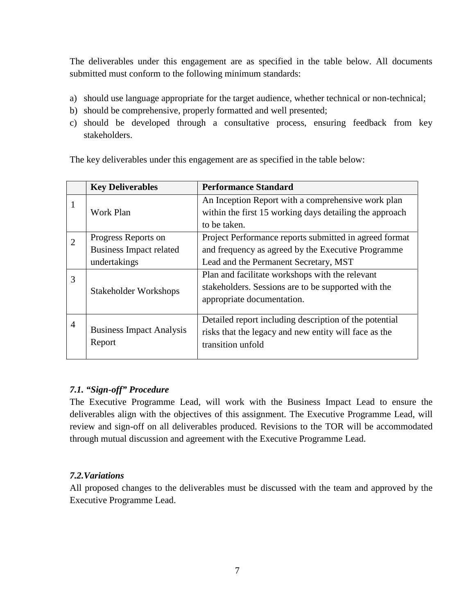The deliverables under this engagement are as specified in the table below. All documents submitted must conform to the following minimum standards:

- a) should use language appropriate for the target audience, whether technical or non-technical;
- b) should be comprehensive, properly formatted and well presented;
- c) should be developed through a consultative process, ensuring feedback from key stakeholders.

|                | <b>Key Deliverables</b>                   | <b>Performance Standard</b>                             |
|----------------|-------------------------------------------|---------------------------------------------------------|
| 1              |                                           | An Inception Report with a comprehensive work plan      |
|                | Work Plan                                 | within the first 15 working days detailing the approach |
|                |                                           | to be taken.                                            |
| $\overline{2}$ | Progress Reports on                       | Project Performance reports submitted in agreed format  |
|                | <b>Business Impact related</b>            | and frequency as agreed by the Executive Programme      |
|                | undertakings                              | Lead and the Permanent Secretary, MST                   |
| 3              |                                           | Plan and facilitate workshops with the relevant         |
|                | Stakeholder Workshops                     | stakeholders. Sessions are to be supported with the     |
|                |                                           | appropriate documentation.                              |
| $\overline{4}$ |                                           | Detailed report including description of the potential  |
|                | <b>Business Impact Analysis</b><br>Report | risks that the legacy and new entity will face as the   |
|                |                                           | transition unfold                                       |
|                |                                           |                                                         |

The key deliverables under this engagement are as specified in the table below:

#### *7.1. "Sign-off" Procedure*

The Executive Programme Lead, will work with the Business Impact Lead to ensure the deliverables align with the objectives of this assignment. The Executive Programme Lead, will review and sign-off on all deliverables produced. Revisions to the TOR will be accommodated through mutual discussion and agreement with the Executive Programme Lead.

#### *7.2.Variations*

All proposed changes to the deliverables must be discussed with the team and approved by the Executive Programme Lead.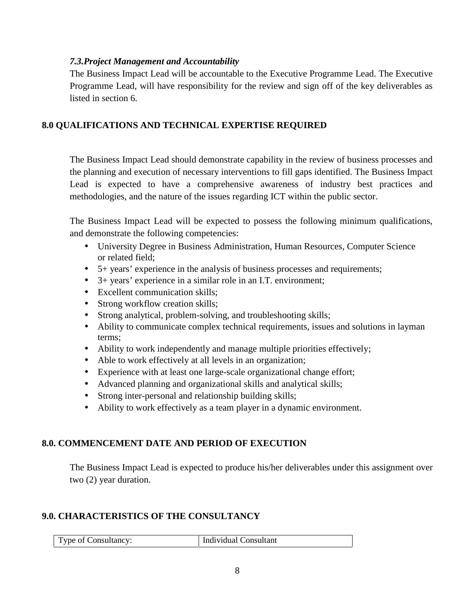#### *7.3.Project Management and Accountability*

The Business Impact Lead will be accountable to the Executive Programme Lead. The Executive Programme Lead, will have responsibility for the review and sign off of the key deliverables as listed in section 6.

#### **8.0 QUALIFICATIONS AND TECHNICAL EXPERTISE REQUIRED**

The Business Impact Lead should demonstrate capability in the review of business processes and the planning and execution of necessary interventions to fill gaps identified. The Business Impact Lead is expected to have a comprehensive awareness of industry best practices and methodologies, and the nature of the issues regarding ICT within the public sector.

The Business Impact Lead will be expected to possess the following minimum qualifications, and demonstrate the following competencies:

- University Degree in Business Administration, Human Resources, Computer Science or related field;
- 5+ years' experience in the analysis of business processes and requirements;
- 3+ years' experience in a similar role in an I.T. environment;
- Excellent communication skills;
- Strong workflow creation skills;
- Strong analytical, problem-solving, and troubleshooting skills;
- Ability to communicate complex technical requirements, issues and solutions in layman terms;
- Ability to work independently and manage multiple priorities effectively;
- Able to work effectively at all levels in an organization;
- Experience with at least one large-scale organizational change effort;
- Advanced planning and organizational skills and analytical skills;
- Strong inter-personal and relationship building skills;
- Ability to work effectively as a team player in a dynamic environment.

#### **8.0. COMMENCEMENT DATE AND PERIOD OF EXECUTION**

The Business Impact Lead is expected to produce his/her deliverables under this assignment over two (2) year duration.

#### **9.0. CHARACTERISTICS OF THE CONSULTANCY**

| Type of Consultancy: | <sup>1</sup> Individual Consultant |
|----------------------|------------------------------------|
|----------------------|------------------------------------|